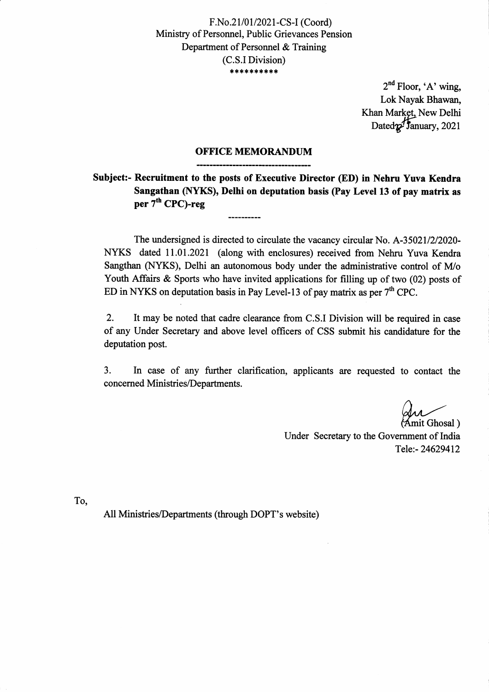F.No.21/01/2021-CS-I (Coord) Minisfiy of Personnel, Public Grievances Pension Departnent of Personnel & Training (C.S.I Division) \*\*\*\*\*\*\*\*\*

> $2<sup>nd</sup>$  Floor, 'A' wing, Lok Nayak Bhawan, Khan Market. New Delhi Dated $\gamma$ fanuary, 2021

## OFFICE MEMORANDUM

Subject:- Recruitment to the posts of Executive Director (ED) in Nehru Yuva Kendra Sangathan (NYKS), Delhi on deputation basis (Pay Level 13 of pay matrix as per  $7<sup>th</sup>$  CPC)-reg

------------------------

The undersigned is directed to circulate the vacancy circular No. A-35021/2/2020-NYKS dated 11.01.2021 (along with enclosures) received from Nehru Yuva Kendra Sangthan (NYKS), Delhi an autonomous body under the administrative control of M/o Youth Affairs & Sports who have invited applications for filling up of two (02) posts of ED in NYKS on deputation basis in Pay Level-13 of pay matrix as per  $7<sup>th</sup>$  CPC.

2. It may be noted that cadre clearance from C.S.I Division will be required in case of any Under Secretary and above level offrcers of CSS submit his candidature for the deputation post.

3. In case of any further clarification, applicants are requested to contact the concerned Ministries/Departments.

mit Ghosal)

Under Secretary to the Government of India Tele:- 24629412

To,

All Ministries/Departments (through DOPT's website)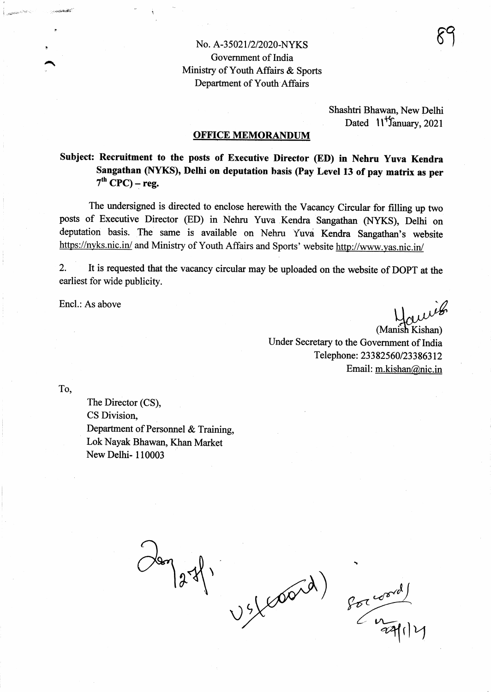# No. A-35021/2/2020-NYKS Government of India Ministy of Youth Affairs & Sports Department of Youth Affairs

Shashtri Bhawan, New Delhi Dated  $11^{4}$ Sanuary, 2021

#### **OFFICE MEMORANDUM**

Subject: Recruitment to the posts of Executive Director (ED) in Nehru Yuva Kendra Sangathan (NYKS), Delhi on deputation basis (Pay Level 13 of pay matrix as per  $7<sup>th</sup>$  CPC) – reg.

The undersigned is directed to enclose herewith the Vacancy Circular for filling up two posts of Executive Director (ED) in Nehru Yuva Kendra Sangathan (NYKS), Delhi on deputation basis. The same is available on Nehru Yuva Kendra Sangathan's website https://nyks.nic.in/ and Ministry of Youth Affairs and Sports' website http://www.yas.nic.in/

2. It is requested that the vacancy circular may be uploaded on the website of DOPT at the earliest for wide publicity.

Encl.: As above

euvis

(Manish Kishan) Under Secretary to the Government of India Telephone: 23382560/23386312 Email: m.kishan@nic.in

To,

 $x_{i}$  is defined as  $x_{i}$  , and a signal signal  $x_{i}$ 

 $\overline{\phantom{0}}$ 

The Director (CS), CS Division, Department of Personnel & Training, Lok Nayak Bhawan, Khan Market NewDelhi- 110003

 $\frac{1}{2}$  $\bigvee$ 

 $80<sub>1</sub>$  $\mathbb{Z}$ 

)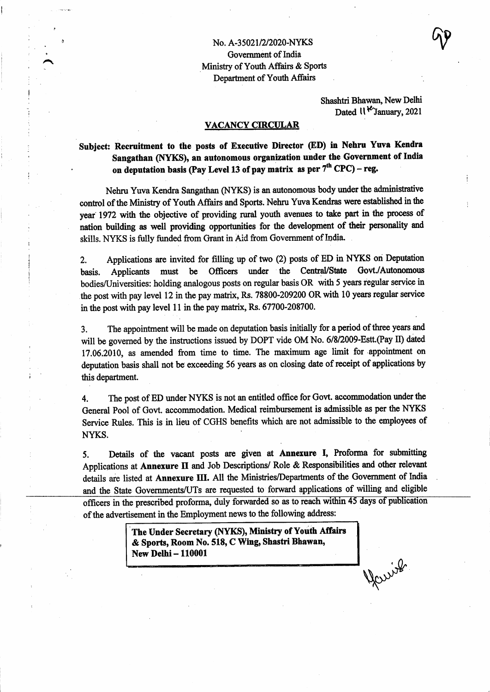Shashtri Bhawan, New Delhi Dated  $\mathcal{W}$ <sup>1</sup>V January, 2021

### VACANCY CIRCULAR

t

# Subject: Recruitment to the posts of Executive Director (ED) in Nehru Yuva Kendra Sangathan (NYKS), an autonomous organization under the Government of India on deputation basis (Pay Level 13 of pay matrix as per  $7<sup>th</sup>$  CPC) – reg.

Nehru Yuva Kendra Sangathan (NYKS) is an autonomous body under the administrative control of the Ministry of Youth Affairs and Sports. Nehru Yuva Kendras were established in the year 1972 with the objective of providing rural youth avenues to take part in the process of nation building as well providing opportunities for the development of their personality and skills. NYKS is fully funded from Grant in Aid from Government of India.

2. Applications are invited for filling up of two (2) posts of ED in NYKS on Deputation basis. Applicants must be Officers under the Central/State Govt./Autonomous bodies/Universities: holding analogous posts on regular basis OR with 5 years regular service in the post with pay level 12 in the pay matrix, Rs. 78800-209200 OR with 10 years regular service in the post with pay level 11 in the pay matrix, Rs.  $67700-208700$ .

3. The appointnent will be made on deputation basis initially for a period of three years and will be governed by the instructions issued by DOPT vide OM No.  $6/8/2009$ -Estt. (Pay II) dated 17.06.2010, as amended from time to time. The maximum age limit for appointment on deputation basis shall not be exceeding 56 years as on closing date of receipt of applications by this department.

4. The post of ED under NYKS is not an entitled office for Govt. accommodation under the General Pool of Govt. accommodation. Medical reimbursement is admissible as per the NYKS Service Rules. This is in lieu of CGHS benefits which are not admissible to the employees of NYKS.

5. Details of the vacant posts are given at Annerurc I, Profoma for submitting Applications at Annexure II and Job Descriptions/ Role & Responsibilities and other relevant details are listed at Annexure III. All the Ministries/Departments of the Government of India and the State Governments/UTs are requested to forward applications of willing and eligible<br>officers in the prescribed proforma, duly forwarded so as to reach within 45 days of publication of the advertisement in the Employment news to the following address:

> The Under Secretary (NYKS), Ministry of Youth Affairs & Sports, Room No. 518, C Wing, Shastri Bhawan, New Delhi - 110001

Warrish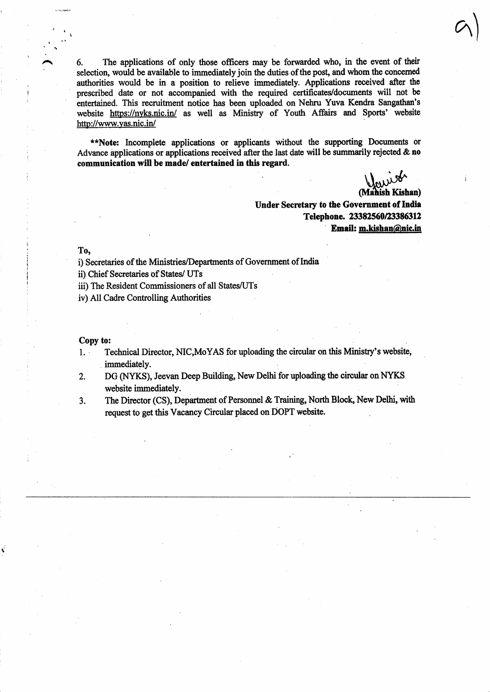6. The applications of only those officers may be forwarded who, in the event of their selection, would be available to immediately join the duties of the post, and whom the concerned authorities would be in a position to relieve immediately. Applications received after the prescribed date or not accompanied with the required certificates/documents will not be entertained. This recruitment notice has been uploaded on Nehru Yuva Kendra Sangathan's website https://nyks.nic.in/ as well as Ministry of Youth Affairs and Sports' website http://www.yas.nic.in/

\*\*Note: Incomplete applications or applicants without the supporting Documents or Advance applications or applications received after the last date will be summarily rejected  $\&$  no communication will be made/ entertained in this regard.

 $U_{\alpha\mu\nu}^{\alpha\mu\nu\sigma}$ 

(Mahish Kishan) Under Secretary to the Government of India Telephone. 23382560/23386312 Email: m.kishan@nic.in

To.

\

i) Secretaries of the Ministries/Departnents of Government of India

ii) Chief Secretaries of States/ UTs

- iii) The Resident Commissioners of all States/UTs
- iv) All Cadre Controlling Authorities

Copy to:

1'

- 1. Technical Director, NIC,MoYAS for uploading the circular on this Minisfiy's website, immediately.
- 2. DG (NYKS), Jeevan Deep Building, New Delhi for uploading the circular on NYKS website immediately.
- 3. The Director (CS), Department of Personnel & Training, North Block, New Delhi, with request to get this Vacancy Circular placed on DOPT website.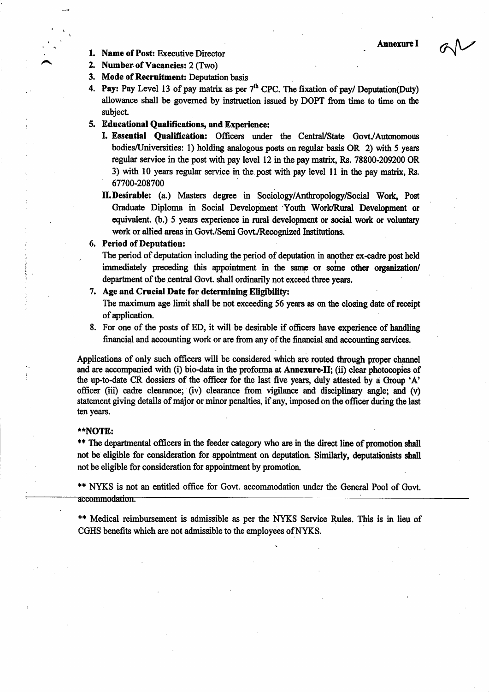$\alpha$ 

- **1. Name of Post:** Executive Director Annexure I
- 2. Number of Vacancies: 2 (Two)
- 3. Mode of Recruitment: Deputation basis
- 4. Pay: Pay Level 13 of pay matrix as per  $7<sup>th</sup>$  CPC. The fixation of pay/ Deputation(Duty) allowance shall be governed by instruction issued by DOPT from time to time on the subject.

### 5. Educational Qualifications, and Experience:

- I. Essential Qualification: Officers under the Central/State Govt./Autonomous bodies/Universities: 1) holding analogous posts on regular basis OR 2) with 5 years regular service in the post with pay level 12 in the pay matrix, Rs. 78800-209200 OR 3) with 10 years regular service in the post with pay level 11 in the pay matrix, Rs. 67700-208700
- II. Desirable: (a.) Masters degree in Sociology/Anthropology/Social Work, Post Graduate Diploma in Social Development Youth Work/Rural Development or equivalent. (b.) 5 years experience in rural development or social work or voluntary work or allied areas in Govt./Semi Govt./Recognized Institutions.

#### 6. Period of Deputation:

The period of deputation including the period of deputation in another ex-cadre post held immediately preceding this appointment in the same or some other organization/ department of the central Govt. shall ordinarily not exceed three years.

#### 7. Age and Crucial Date for determining Eligibility:

The maximum age limit shall be not exceeding 56 years as on the closing date of receipt of applicarion.

8. For one of the posts of ED, it will be desirable if officers have experience of handling financial and accounting work or are from any of the financial and accounting services.

Applications of only such officers will be considered which are routed through proper channel and are accompanied with (i) bio-data in the proforma at Annexure-II; (ii) clear photocopies of the up-to-date CR dossiers of the officer for the last five years, duly attested by a Group 'A' officer (iii) cadre clearance; (iv) clearance from vigilance and disciplinary angle; and  $(v)$ statement giving details of major or minor penalties, if any, imposed on the officer during the last ten years,

#### r\*NOTE:

\*\* The departmental officers in the feeder category who are in the direct line of promotion shall not be eligible for consideration for appointment on deputation. Similarly, deputationists shall not be eligible for consideration for appointment by promotion.

\*\* NYKS is not an entitled office for Govt. accommodation under the General Pool of Govt. accommodation.

\*\* Medical reimbursement is admissible as per the NYKS Service Rules. This is in lieu of CGHS benefits which are not admissible to the employees of NYKS.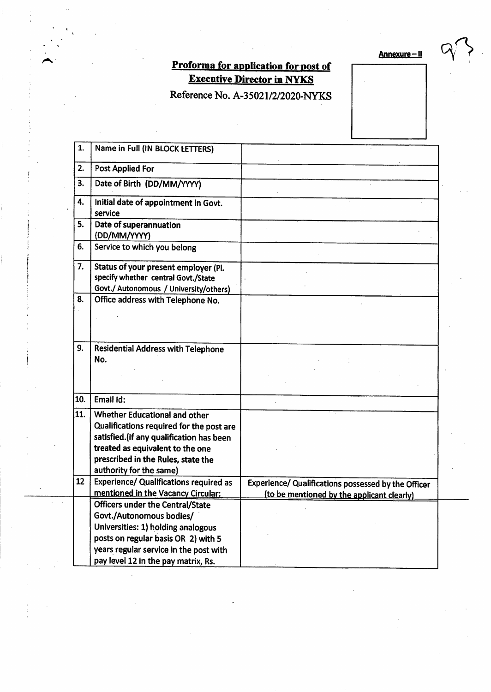Annexure - II

# Proforma for application for post of **Executive Director in NYKS**

Reference No. A-35021/2/2020-NYKS

| 1.  | Name in Full (IN BLOCK LETTERS)                                                                                                                                                                                                                                         |                                                     |
|-----|-------------------------------------------------------------------------------------------------------------------------------------------------------------------------------------------------------------------------------------------------------------------------|-----------------------------------------------------|
| 2.  | <b>Post Applied For</b>                                                                                                                                                                                                                                                 |                                                     |
| 3.  | Date of Birth (DD/MM/YYYY)                                                                                                                                                                                                                                              |                                                     |
| 4.  | Initial date of appointment in Govt.<br>service                                                                                                                                                                                                                         |                                                     |
| 5.  | Date of superannuation<br>(DD/MM/YYYY)                                                                                                                                                                                                                                  |                                                     |
| 6.  | Service to which you belong                                                                                                                                                                                                                                             |                                                     |
| 7.  | Status of your present employer (Pl.<br>specify whether central Govt./State<br>Govt./ Autonomous / University/others)                                                                                                                                                   |                                                     |
| 8.  | Office address with Telephone No.                                                                                                                                                                                                                                       |                                                     |
| 9.  | <b>Residential Address with Telephone</b><br>No.                                                                                                                                                                                                                        |                                                     |
| 10. | Email Id:                                                                                                                                                                                                                                                               |                                                     |
| 11. | Whether Educational and other<br>Qualifications required for the post are<br>satisfied. (If any qualification has been<br>treated as equivalent to the one<br>prescribed in the Rules, state the<br>authority for the same)                                             |                                                     |
| 12  | <b>Experience/ Qualifications required as</b>                                                                                                                                                                                                                           | Experience/ Qualifications possessed by the Officer |
|     | mentioned in the Vacancy Circular:<br><b>Officers under the Central/State</b><br>Govt./Autonomous bodies/<br>Universities: 1) holding analogous<br>posts on regular basis OR 2) with 5<br>years regular service in the post with<br>pay level 12 in the pay matrix, Rs. | (to be mentioned by the applicant clearly)          |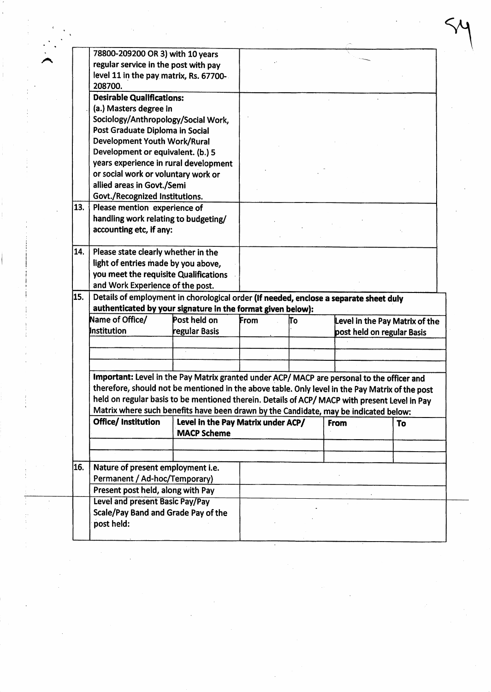|     | 78800-209200 OR 3) with 10 years                                                                                  |                                    |      |     |             |                                |
|-----|-------------------------------------------------------------------------------------------------------------------|------------------------------------|------|-----|-------------|--------------------------------|
|     | regular service in the post with pay                                                                              |                                    |      |     |             |                                |
|     | level 11 in the pay matrix, Rs. 67700-                                                                            |                                    |      |     |             |                                |
|     | 208700.                                                                                                           |                                    |      |     |             |                                |
|     | <b>Desirable Qualifications:</b>                                                                                  |                                    |      |     |             |                                |
|     | (a.) Masters degree in                                                                                            |                                    |      |     |             |                                |
|     | Sociology/Anthropology/Social Work,                                                                               |                                    |      |     |             |                                |
|     | Post Graduate Diploma in Social                                                                                   |                                    |      |     |             |                                |
|     | <b>Development Youth Work/Rural</b>                                                                               |                                    |      |     |             |                                |
|     | Development or equivalent. (b.) 5<br>years experience in rural development                                        |                                    |      |     |             |                                |
|     | or social work or voluntary work or                                                                               |                                    |      |     |             |                                |
|     | allied areas in Govt./Semi                                                                                        |                                    |      |     |             |                                |
|     | Govt./Recognized Institutions.                                                                                    |                                    |      |     |             |                                |
| 13. | Please mention experience of                                                                                      |                                    |      |     |             |                                |
|     | handling work relating to budgeting/                                                                              |                                    |      |     |             |                                |
|     | accounting etc, if any:                                                                                           |                                    |      |     |             |                                |
|     |                                                                                                                   |                                    |      |     |             |                                |
| 14. | Please state clearly whether in the                                                                               |                                    |      |     |             |                                |
|     | light of entries made by you above,                                                                               |                                    |      |     |             |                                |
|     | you meet the requisite Qualifications                                                                             |                                    |      |     |             |                                |
|     | and Work Experience of the post.                                                                                  |                                    |      |     |             |                                |
| 15. | Details of employment in chorological order (If needed, enclose a separate sheet duly                             |                                    |      |     |             |                                |
|     | authenticated by your signature in the format given below):                                                       |                                    |      |     |             |                                |
|     | Name of Office/<br>Post held on                                                                                   |                                    | From | lΤo |             | Level in the Pay Matrix of the |
|     | Institution                                                                                                       | regular Basis                      |      |     |             | post held on regular Basis     |
|     |                                                                                                                   |                                    |      |     |             |                                |
|     |                                                                                                                   |                                    |      |     |             |                                |
|     |                                                                                                                   |                                    |      |     |             |                                |
|     | Important: Level in the Pay Matrix granted under ACP/ MACP are personal to the officer and                        |                                    |      |     |             |                                |
|     | therefore, should not be mentioned in the above table. Only level in the Pay Matrix of the post                   |                                    |      |     |             |                                |
|     | held on regular basis to be mentioned therein. Details of ACP/ MACP with present Level in Pay                     |                                    |      |     |             |                                |
|     | Matrix where such benefits have been drawn by the Candidate, may be indicated below:<br><b>Office/Institution</b> | Level in the Pay Matrix under ACP/ |      |     | <b>From</b> |                                |
|     |                                                                                                                   | <b>MACP Scheme</b>                 |      |     |             | To                             |
|     |                                                                                                                   |                                    |      |     |             |                                |
|     |                                                                                                                   |                                    |      |     |             |                                |
|     |                                                                                                                   | Nature of present employment i.e.  |      |     |             |                                |
|     |                                                                                                                   |                                    |      |     |             |                                |
|     |                                                                                                                   |                                    |      |     |             |                                |
|     | Permanent / Ad-hoc/Temporary)                                                                                     |                                    |      |     |             |                                |
| 16. | Present post held, along with Pay                                                                                 |                                    |      |     |             |                                |
|     | <b>Level and present Basic Pay/Pay</b>                                                                            |                                    |      |     |             |                                |
|     | Scale/Pay Band and Grade Pay of the<br>post held:                                                                 |                                    |      |     |             |                                |

 $\frac{1}{2} \sum_{i=1}^{n} \frac{1}{i} \sum_{j=1}^{n} \frac{1}{j} \sum_{j=1}^{n} \frac{1}{j} \sum_{j=1}^{n} \frac{1}{j} \sum_{j=1}^{n} \frac{1}{j} \sum_{j=1}^{n} \frac{1}{j} \sum_{j=1}^{n} \frac{1}{j} \sum_{j=1}^{n} \frac{1}{j} \sum_{j=1}^{n} \frac{1}{j} \sum_{j=1}^{n} \frac{1}{j} \sum_{j=1}^{n} \frac{1}{j} \sum_{j=1}^{n} \frac{1}{j} \sum_{j=1}^{n$ 

 $\label{eq:1} \frac{1}{\sqrt{2}}\left(\frac{1}{\sqrt{2}}\right)^2$ 

 $\frac{1}{\sqrt{2}}$ 

 $\hat{\mathcal{A}}$ 

 $\sim$   $\sim$ 

 $\hat{\mathcal{E}}$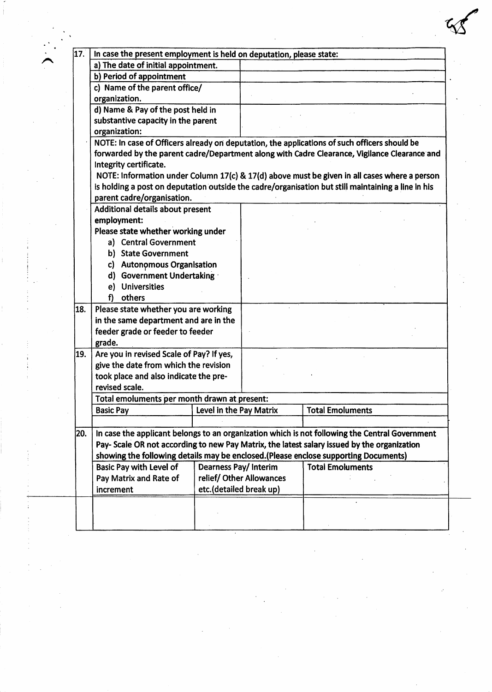| 17.                                                                                                   | In case the present employment is held on deputation, please state:                                                                                                                          |                         |                          |                         |  |
|-------------------------------------------------------------------------------------------------------|----------------------------------------------------------------------------------------------------------------------------------------------------------------------------------------------|-------------------------|--------------------------|-------------------------|--|
|                                                                                                       | a) The date of initial appointment.                                                                                                                                                          |                         |                          |                         |  |
|                                                                                                       | b) Period of appointment                                                                                                                                                                     |                         |                          |                         |  |
|                                                                                                       | c) Name of the parent office/                                                                                                                                                                |                         |                          |                         |  |
|                                                                                                       | organization.                                                                                                                                                                                |                         |                          |                         |  |
|                                                                                                       | d) Name & Pay of the post held in                                                                                                                                                            |                         |                          |                         |  |
|                                                                                                       | substantive capacity in the parent                                                                                                                                                           |                         |                          |                         |  |
|                                                                                                       | organization:                                                                                                                                                                                |                         |                          |                         |  |
|                                                                                                       | NOTE: In case of Officers already on deputation, the applications of such officers should be<br>forwarded by the parent cadre/Department along with Cadre Clearance, Vigilance Clearance and |                         |                          |                         |  |
|                                                                                                       |                                                                                                                                                                                              |                         |                          |                         |  |
|                                                                                                       | Integrity certificate.                                                                                                                                                                       |                         |                          |                         |  |
|                                                                                                       | NOTE: Information under Column 17(c) & 17(d) above must be given in all cases where a person                                                                                                 |                         |                          |                         |  |
|                                                                                                       | is holding a post on deputation outside the cadre/organisation but still maintaining a line in his                                                                                           |                         |                          |                         |  |
|                                                                                                       | parent cadre/organisation.                                                                                                                                                                   |                         |                          |                         |  |
|                                                                                                       | Additional details about present                                                                                                                                                             |                         |                          |                         |  |
|                                                                                                       | employment:                                                                                                                                                                                  |                         |                          |                         |  |
|                                                                                                       | Please state whether working under                                                                                                                                                           |                         |                          |                         |  |
|                                                                                                       | a) Central Government                                                                                                                                                                        |                         |                          |                         |  |
|                                                                                                       | b) State Government                                                                                                                                                                          |                         |                          |                         |  |
|                                                                                                       | c) Autonomous Organisation                                                                                                                                                                   |                         |                          |                         |  |
|                                                                                                       | d) Government Undertaking                                                                                                                                                                    |                         |                          |                         |  |
|                                                                                                       | <b>Universities</b><br>e)                                                                                                                                                                    |                         |                          |                         |  |
|                                                                                                       | others<br>f)                                                                                                                                                                                 |                         |                          |                         |  |
| 18.                                                                                                   | Please state whether you are working                                                                                                                                                         |                         |                          |                         |  |
|                                                                                                       | in the same department and are in the                                                                                                                                                        |                         |                          |                         |  |
|                                                                                                       | feeder grade or feeder to feeder                                                                                                                                                             |                         |                          |                         |  |
|                                                                                                       | grade.                                                                                                                                                                                       |                         |                          |                         |  |
| 19.                                                                                                   | Are you in revised Scale of Pay? If yes,                                                                                                                                                     |                         |                          |                         |  |
|                                                                                                       | give the date from which the revision                                                                                                                                                        |                         |                          |                         |  |
|                                                                                                       | took place and also indicate the pre-                                                                                                                                                        |                         |                          |                         |  |
|                                                                                                       | revised scale.                                                                                                                                                                               |                         |                          |                         |  |
|                                                                                                       | Total emoluments per month drawn at present:                                                                                                                                                 |                         |                          |                         |  |
|                                                                                                       | <b>Basic Pay</b>                                                                                                                                                                             | Level in the Pay Matrix |                          | <b>Total Emoluments</b> |  |
|                                                                                                       |                                                                                                                                                                                              |                         |                          |                         |  |
| In case the applicant belongs to an organization which is not following the Central Government<br>20. |                                                                                                                                                                                              |                         |                          |                         |  |
|                                                                                                       | Pay- Scale OR not according to new Pay Matrix, the latest salary issued by the organization                                                                                                  |                         |                          |                         |  |
|                                                                                                       | showing the following details may be enclosed.(Please enclose supporting Documents)                                                                                                          |                         |                          |                         |  |
|                                                                                                       | <b>Dearness Pay/Interim</b><br>Basic Pay with Level of                                                                                                                                       |                         |                          | <b>Total Emoluments</b> |  |
|                                                                                                       | Pay Matrix and Rate of                                                                                                                                                                       |                         | relief/ Other Allowances |                         |  |
|                                                                                                       | etc.(detailed break up)<br>increment                                                                                                                                                         |                         |                          |                         |  |
|                                                                                                       |                                                                                                                                                                                              |                         |                          |                         |  |
|                                                                                                       |                                                                                                                                                                                              |                         |                          |                         |  |
|                                                                                                       |                                                                                                                                                                                              |                         |                          |                         |  |

 $\frac{1}{\sqrt{2}}\left( \frac{1}{2}\right) ^{2}$ 

 $\sim$ 

 $\sim 10^{-1}$ 

 $\hat{\mathcal{F}}$ 

 $\mathcal{F}_{\mathcal{G}}$ 

 $\frac{1}{\sqrt{2}}$ 

 $\frac{1}{2}$ 

 $\label{eq:2} \frac{1}{2} \frac{1}{2} \frac{1}{2} \frac{1}{2} \frac{1}{2} \frac{1}{2} \frac{1}{2} \frac{1}{2} \frac{1}{2} \frac{1}{2} \frac{1}{2} \frac{1}{2} \frac{1}{2} \frac{1}{2} \frac{1}{2} \frac{1}{2} \frac{1}{2} \frac{1}{2} \frac{1}{2} \frac{1}{2} \frac{1}{2} \frac{1}{2} \frac{1}{2} \frac{1}{2} \frac{1}{2} \frac{1}{2} \frac{1}{2} \frac{1}{2} \frac{1}{2} \frac{1}{2} \frac{$ 

 $\frac{1}{\sqrt{2}}\int_{0}^{\sqrt{2}}\frac{1}{\sqrt{2}}\left( \frac{1}{2}\right) ^{2}d\mu d\mu d\nu$ 

 $\frac{1}{2} \frac{1}{2} \frac{1}{2} \frac{1}{2} \frac{1}{2} \frac{1}{2}$ 

n

 $\Delta \sim 10^4$ 

 $\mathcal{A}_{\mathcal{A}}$ 

 $\label{eq:2} \mathcal{L} = \mathcal{L} \left( \mathcal{L} \right) \mathcal{L} \left( \mathcal{L} \right)$ 

 $\frac{1}{2}$  ,  $\frac{1}{2}$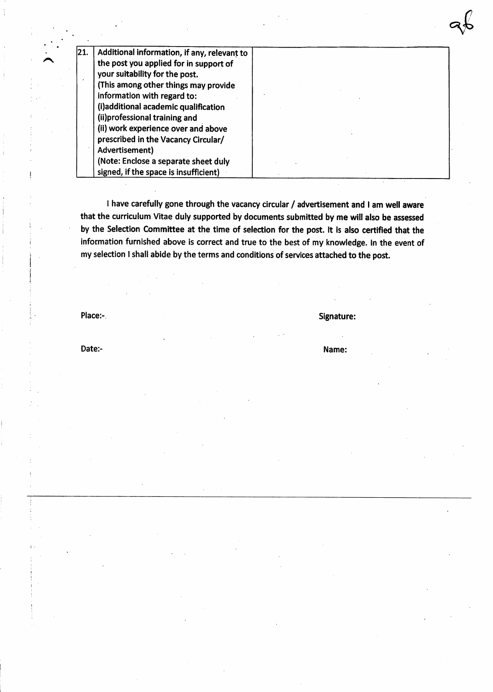| 21. | Additional information, if any, relevant to |  |
|-----|---------------------------------------------|--|
|     | the post you applied for in support of      |  |
|     | your suitability for the post.              |  |
|     | (This among other things may provide        |  |
|     | information with regard to:                 |  |
|     | (i)additional academic qualification        |  |
|     | (ii)professional training and               |  |
|     | (ii) work experience over and above         |  |
|     | prescribed in the Vacancy Circular/         |  |
|     | Advertisement)                              |  |
|     | (Note: Enclose a separate sheet duly        |  |
|     | signed, if the space is insufficient)       |  |

I have carefully gone through the vacancy circular / advertisement and I am well aware that the curriculum Vitae duly supported by documents submitted by me will also be assessed by the Selection Committee at the time of selection for the post. It is also certified that the information furnished above is correct and true to the best of my knowledge. In the event of my selection I shall abide by the terms and conditions of services attached to the post.

A

Place:- Signature: Signature: Signature: Signature: Signature: Signature: Signature: Signature: Signature: Signature: Signature: Signature: Signature: Signature: Signature: Signature: Signature: Signature: Signature: Signa

96

Date:- **Name:** Name: **Name:** Name: **Name:** Name: **Name:** Name: **Name:** Name: **Name:**  $\mathbb{R}$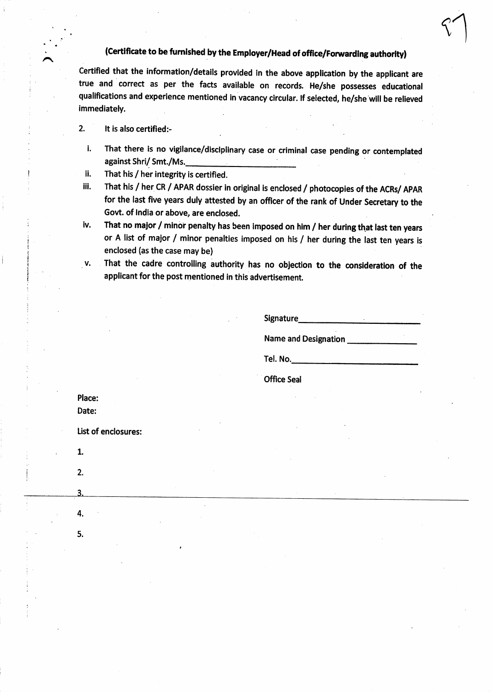# (Certificate to be furnished by the Employer/Head of office/Forwarding authority)

Certified that the information/details provided in the above application by the applicant are true and correct as per the facts available on records. He/she possesses educationat qualifications and experience mentioned in vacancy circular. If selected, he/she will be relieved immediately

2. It is also certified:-

n

- i. That there is no vigilance/disciplinary case or criminal case pending or contemplated against Shri/Smt./Ms.
- li. That his / her integrity is certified.
- iii. That his / her CR / APAR dossier in original is enclosed / photocopies of the ACRs/ ApAR for the last five years duly attested by an offlcer of the rank of Under Secretary to the Govt. of India or above, are enclosed.
- iv. That no major / minor penalty has been imposed on him / her during that last ten years or A list of major / minor penalties imposed on his / her during the last ten years is enclosed (as the case may be)
- v. That the cadre controlling authority has no objection to the consideration of the applicant for the post mentioned in this advertisement.

Signature\_

 $\lambda$ 

Name and Designation

Tel. No.

**Office Seal** 

5.

4.

1.

2.

 $\overline{3}$ .

Place: Date:

list of enclosures: